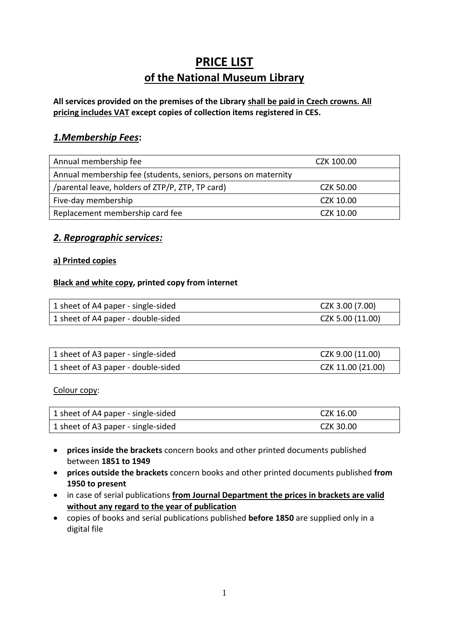# **PRICE LIST of the National Museum Library**

## **All services provided on the premises of the Library shall be paid in Czech crowns. All pricing includes VAT except copies of collection items registered in CES.**

# *1.Membership Fees***:**

| Annual membership fee                                          | CZK 100.00 |
|----------------------------------------------------------------|------------|
| Annual membership fee (students, seniors, persons on maternity |            |
| /parental leave, holders of ZTP/P, ZTP, TP card)               | CZK 50.00  |
| Five-day membership                                            | CZK 10.00  |
| Replacement membership card fee                                | CZK 10.00  |

# *2. Reprographic services:*

## **a) Printed copies**

## **Black and white copy, printed copy from internet**

| 1 sheet of A4 paper - single-sided | CZK 3.00 (7.00)  |
|------------------------------------|------------------|
| 1 sheet of A4 paper - double-sided | CZK 5.00 (11.00) |

| 1 sheet of A3 paper - single-sided | CZK 9.00 (11.00)  |
|------------------------------------|-------------------|
| 1 sheet of A3 paper - double-sided | CZK 11.00 (21.00) |

Colour copy:

| 1 sheet of A4 paper - single-sided | CZK 16.00 |
|------------------------------------|-----------|
| 1 sheet of A3 paper - single-sided | CZK 30.00 |

- **prices inside the brackets** concern books and other printed documents published between **1851 to 1949**
- **prices outside the brackets** concern books and other printed documents published **from 1950 to present**
- in case of serial publications **from Journal Department the prices in brackets are valid without any regard to the year of publication**
- copies of books and serial publications published **before 1850** are supplied only in a digital file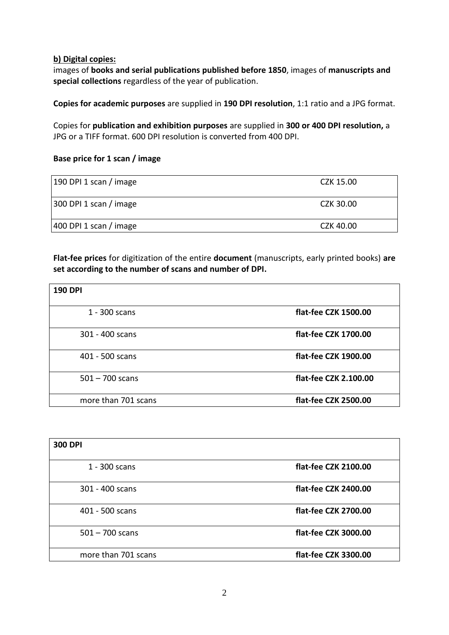#### **b) Digital copies:**

images of **books and serial publications published before 1850**, images of **manuscripts and special collections** regardless of the year of publication.

**Copies for academic purposes** are supplied in **190 DPI resolution**, 1:1 ratio and a JPG format.

Copies for **publication and exhibition purposes** are supplied in **300 or 400 DPI resolution,** a JPG or a TIFF format. 600 DPI resolution is converted from 400 DPI.

#### **Base price for 1 scan / image**

| 190 DPI 1 scan / image | CZK 15.00 |
|------------------------|-----------|
| 300 DPI 1 scan / image | CZK 30.00 |
| 400 DPI 1 scan / image | CZK 40.00 |

**Flat-fee prices** for digitization of the entire **document** (manuscripts, early printed books) **are set according to the number of scans and number of DPI.**

| <b>190 DPI</b>      |                       |
|---------------------|-----------------------|
| 1 - 300 scans       | flat-fee CZK 1500.00  |
| 301 - 400 scans     | flat-fee CZK 1700.00  |
| 401 - 500 scans     | flat-fee CZK 1900.00  |
| $501 - 700$ scans   | flat-fee CZK 2.100.00 |
| more than 701 scans | flat-fee CZK 2500.00  |

| <b>300 DPI</b>      |                      |
|---------------------|----------------------|
| 1 - 300 scans       | flat-fee CZK 2100.00 |
| 301 - 400 scans     | flat-fee CZK 2400.00 |
| 401 - 500 scans     | flat-fee CZK 2700.00 |
| $501 - 700$ scans   | flat-fee CZK 3000.00 |
| more than 701 scans | flat-fee CZK 3300.00 |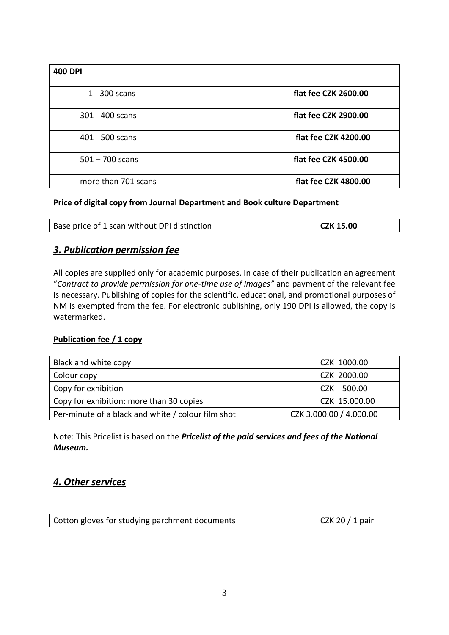| <b>400 DPI</b>      |                      |
|---------------------|----------------------|
| 1 - 300 scans       | flat fee CZK 2600.00 |
| 301 - 400 scans     | flat fee CZK 2900.00 |
| 401 - 500 scans     | flat fee CZK 4200.00 |
| $501 - 700$ scans   | flat fee CZK 4500.00 |
| more than 701 scans | flat fee CZK 4800.00 |

#### **Price of digital copy from Journal Department and Book culture Department**

| Base price of 1 scan without DPI distinction | <b>CZK 15.00</b> |
|----------------------------------------------|------------------|
|                                              |                  |

## *3. Publication permission fee*

All copies are supplied only for academic purposes. In case of their publication an agreement "*Contract to provide permission for one-time use of images"* and payment of the relevant fee is necessary. Publishing of copies for the scientific, educational, and promotional purposes of NM is exempted from the fee. For electronic publishing, only 190 DPI is allowed, the copy is watermarked.

## **Publication fee / 1 copy**

| Black and white copy                               | CZK 1000.00             |
|----------------------------------------------------|-------------------------|
| Colour copy                                        | CZK 2000.00             |
| Copy for exhibition                                | CZK 500.00              |
| Copy for exhibition: more than 30 copies           | CZK 15.000.00           |
| Per-minute of a black and white / colour film shot | CZK 3.000.00 / 4.000.00 |

Note: This Pricelist is based on the *Pricelist of the paid services and fees of the National Museum.*

# *4. Other services*

| Cotton gloves for studying parchment documents | CZK 20 $/$ 1 pair |
|------------------------------------------------|-------------------|
|                                                |                   |